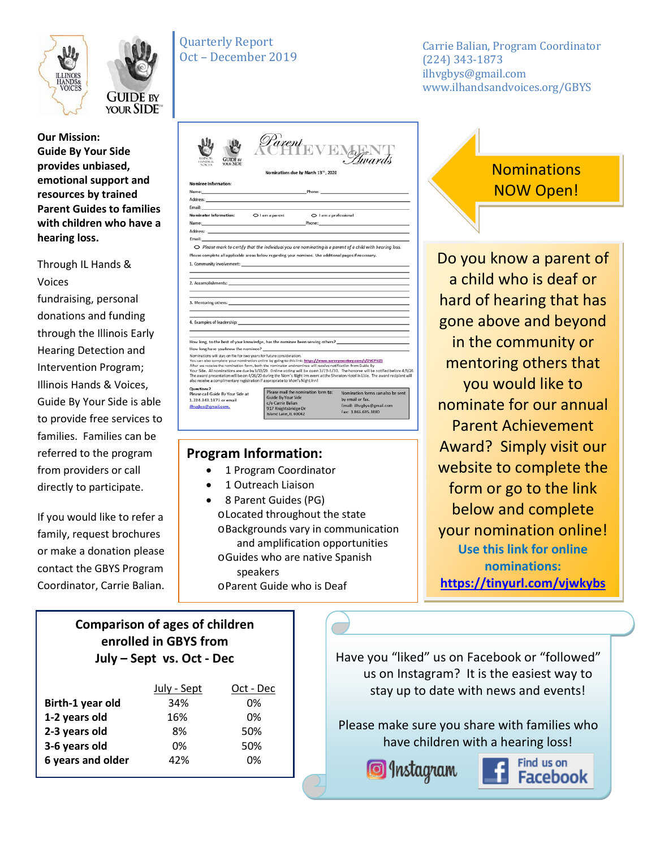



**Our Mission: Guide By Your Side provides unbiased, emotional support and resources by trained Parent Guides to families with children who have a hearing loss.** 

### Through IL Hands & Voices

fundraising, personal donations and funding through the Illinois Early Hearing Detection and Intervention Program; Illinois Hands & Voices, Guide By Your Side is able to provide free services to families. Families can be referred to the program from providers or call directly to participate.

If you would like to refer a family, request brochures or make a donation please contact the GBYS Program Coordinator, Carrie Balian.

| <b>Quarterly Report</b> |
|-------------------------|
| Oct – December 2019     |

Carrie Balian, Program Coordinator (224) 343-1873 ilhvgbys@gmail.com www.ilhandsandvoices.org/GBYS

| <b>GUIDE IV</b><br><b>HANDS &amp;</b><br>YOUR SIDE<br><b>VOICES</b>                                                                                                                                                                                                                 |                                           |                                                  | Parent EVEN Hwards                                                                                                                                                                                                                                               |
|-------------------------------------------------------------------------------------------------------------------------------------------------------------------------------------------------------------------------------------------------------------------------------------|-------------------------------------------|--------------------------------------------------|------------------------------------------------------------------------------------------------------------------------------------------------------------------------------------------------------------------------------------------------------------------|
|                                                                                                                                                                                                                                                                                     |                                           | Nominations due by March 13 <sup>th</sup> , 2020 |                                                                                                                                                                                                                                                                  |
| Nominee Information:                                                                                                                                                                                                                                                                |                                           |                                                  |                                                                                                                                                                                                                                                                  |
|                                                                                                                                                                                                                                                                                     |                                           |                                                  |                                                                                                                                                                                                                                                                  |
|                                                                                                                                                                                                                                                                                     |                                           |                                                  |                                                                                                                                                                                                                                                                  |
|                                                                                                                                                                                                                                                                                     |                                           |                                                  |                                                                                                                                                                                                                                                                  |
| Nominator Information:                                                                                                                                                                                                                                                              | O I am a parent                           | O I am a professional                            |                                                                                                                                                                                                                                                                  |
|                                                                                                                                                                                                                                                                                     |                                           |                                                  | <b>Name:</b> Phone: Phone: Phone: Phone: Phone: Phone: Phone: Phone: Phone: Phone: Phone: Phone: Phone: Phone: Phone: Phone: Phone: Phone: Phone: Phone: Phone: Phone: Phone: Phone: Phone: Phone: Phone: Phone: Phone: Phone: Phon                              |
| Address: Address: Address: Address: Address: Address: Address: Address: Address: Address: Address: A                                                                                                                                                                                |                                           |                                                  |                                                                                                                                                                                                                                                                  |
| Email: Email: And All And All And All And All And All And All And All And All And All And All And A                                                                                                                                                                                 |                                           |                                                  |                                                                                                                                                                                                                                                                  |
| O Please mark to certify that the individual you are nominating is a parent of a child with hearing loss.                                                                                                                                                                           |                                           |                                                  |                                                                                                                                                                                                                                                                  |
| Please complete all applicable areas below regarding your nominee. Use additional pages if necessary.                                                                                                                                                                               |                                           |                                                  |                                                                                                                                                                                                                                                                  |
| 1. Community involvement: the community of the community of the community of the community involvement:                                                                                                                                                                             |                                           |                                                  |                                                                                                                                                                                                                                                                  |
|                                                                                                                                                                                                                                                                                     |                                           |                                                  |                                                                                                                                                                                                                                                                  |
|                                                                                                                                                                                                                                                                                     |                                           |                                                  |                                                                                                                                                                                                                                                                  |
|                                                                                                                                                                                                                                                                                     |                                           |                                                  |                                                                                                                                                                                                                                                                  |
|                                                                                                                                                                                                                                                                                     |                                           |                                                  |                                                                                                                                                                                                                                                                  |
|                                                                                                                                                                                                                                                                                     |                                           |                                                  |                                                                                                                                                                                                                                                                  |
|                                                                                                                                                                                                                                                                                     |                                           |                                                  |                                                                                                                                                                                                                                                                  |
|                                                                                                                                                                                                                                                                                     |                                           |                                                  |                                                                                                                                                                                                                                                                  |
|                                                                                                                                                                                                                                                                                     |                                           |                                                  |                                                                                                                                                                                                                                                                  |
|                                                                                                                                                                                                                                                                                     |                                           |                                                  |                                                                                                                                                                                                                                                                  |
|                                                                                                                                                                                                                                                                                     |                                           |                                                  |                                                                                                                                                                                                                                                                  |
|                                                                                                                                                                                                                                                                                     |                                           |                                                  | How long, to the best of your knowledge, has the nominee been serving others? ________________________________                                                                                                                                                   |
|                                                                                                                                                                                                                                                                                     |                                           |                                                  |                                                                                                                                                                                                                                                                  |
| How long have you know the nominee?                                                                                                                                                                                                                                                 |                                           |                                                  |                                                                                                                                                                                                                                                                  |
| You can also complete your nomination online by going to this link: https://www.surveymonkey.com/r/2VCPNZS                                                                                                                                                                          |                                           |                                                  | Your Side. All nominations are due by 3/13/20. Online voting will be open 3/23-3/30. The honoree will be notified before 4/3<br>The award presentation will be on 4/26/20 during the Mom's Night Inn event at the Sheraton Hotel in Lisle. The award recipient v |
| Nominations will stay on file for two years for future consideration,<br>After we receive the nomination form, both the nominator and nominee will receive notification from Guide By<br>also receive a complimentary registration if appropriate to Mom's Night Inn!<br>Questions? |                                           |                                                  |                                                                                                                                                                                                                                                                  |
| Please call Guide By Your Side at                                                                                                                                                                                                                                                   | Guide By Your Side                        | Please mail the nomination form to:              | Nomination forms can also be sent                                                                                                                                                                                                                                |
| 1.224.343.1873 or email<br>ilhysbys@gmail.com.                                                                                                                                                                                                                                      | c/o Carrie Balian<br>917 Knightsbridge Dr |                                                  | by email or fax.<br>Email: ilhvgbys@gmail.com                                                                                                                                                                                                                    |

### **Program Information:**

- 1 Program Coordinator
- 1 Outreach Liaison
- 8 Parent Guides (PG) oLocated throughout the state oBackgrounds vary in communication and amplification opportunities oGuides who are native Spanish speakers oParent Guide who is Deaf

# **Nominations** NOW Open!

Do you know a parent of a child who is deaf or hard of hearing that has gone above and beyond in the community or mentoring others that you would like to nominate for our annual Parent Achievement Award? Simply visit our website to complete the form or go to the link below and complete your nomination online! **Use this link for online nominations: <https://tinyurl.com/vjwkybs>**

### **Comparison of ages of children enrolled in GBYS from July – Sept vs. Oct - Dec**

|                   | July - Sept | Oct - Dec |
|-------------------|-------------|-----------|
| Birth-1 year old  | 34%         | 0%        |
| 1-2 years old     | 16%         | በ%        |
| 2-3 years old     | 8%          | 50%       |
| 3-6 years old     | 0%          | 50%       |
| 6 years and older | 42%         | በ%        |

Have you "liked" us on Facebook or "followed" us on Instagram? It is the easiest way to stay up to date with news and events!

Please make sure you share with families who have children with a hearing loss!

Snstagram